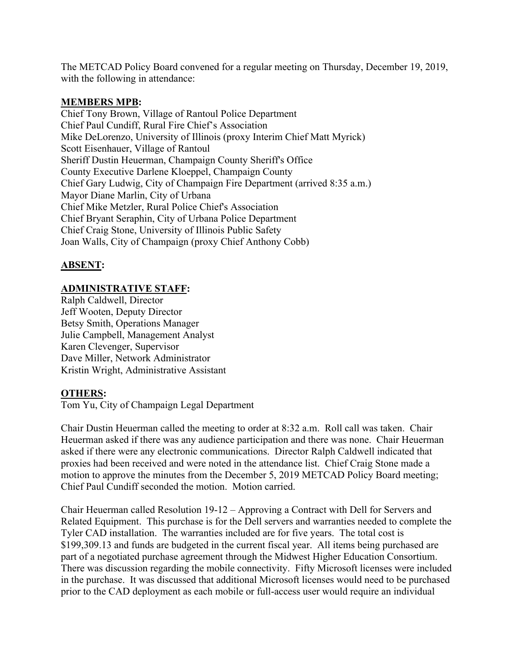The METCAD Policy Board convened for a regular meeting on Thursday, December 19, 2019, with the following in attendance:

## **MEMBERS MPB:**

Chief Tony Brown, Village of Rantoul Police Department Chief Paul Cundiff, Rural Fire Chief's Association Mike DeLorenzo, University of Illinois (proxy Interim Chief Matt Myrick) Scott Eisenhauer, Village of Rantoul Sheriff Dustin Heuerman, Champaign County Sheriff's Office County Executive Darlene Kloeppel, Champaign County Chief Gary Ludwig, City of Champaign Fire Department (arrived 8:35 a.m.) Mayor Diane Marlin, City of Urbana Chief Mike Metzler, Rural Police Chief's Association Chief Bryant Seraphin, City of Urbana Police Department Chief Craig Stone, University of Illinois Public Safety Joan Walls, City of Champaign (proxy Chief Anthony Cobb)

## **ABSENT:**

## **ADMINISTRATIVE STAFF:**

Ralph Caldwell, Director Jeff Wooten, Deputy Director Betsy Smith, Operations Manager Julie Campbell, Management Analyst Karen Clevenger, Supervisor Dave Miller, Network Administrator Kristin Wright, Administrative Assistant

## **OTHERS:**

Tom Yu, City of Champaign Legal Department

Chair Dustin Heuerman called the meeting to order at 8:32 a.m. Roll call was taken. Chair Heuerman asked if there was any audience participation and there was none. Chair Heuerman asked if there were any electronic communications. Director Ralph Caldwell indicated that proxies had been received and were noted in the attendance list. Chief Craig Stone made a motion to approve the minutes from the December 5, 2019 METCAD Policy Board meeting; Chief Paul Cundiff seconded the motion. Motion carried.

Chair Heuerman called Resolution 19-12 – Approving a Contract with Dell for Servers and Related Equipment. This purchase is for the Dell servers and warranties needed to complete the Tyler CAD installation. The warranties included are for five years. The total cost is \$199,309.13 and funds are budgeted in the current fiscal year. All items being purchased are part of a negotiated purchase agreement through the Midwest Higher Education Consortium. There was discussion regarding the mobile connectivity. Fifty Microsoft licenses were included in the purchase. It was discussed that additional Microsoft licenses would need to be purchased prior to the CAD deployment as each mobile or full-access user would require an individual